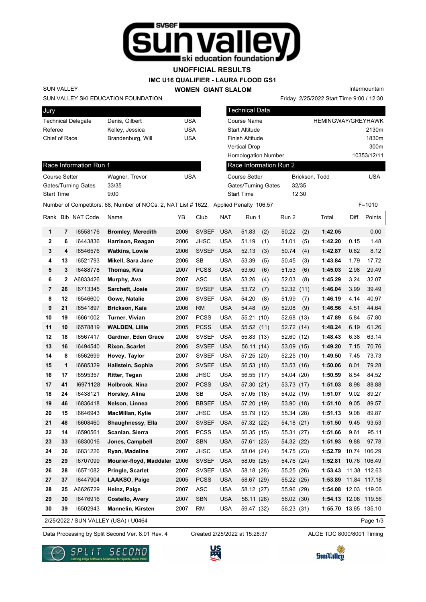

## **UNOFFICIAL RESULTS**

#### **IMC U16 QUALIFIER - LAURA FLOOD GS1**

**WOMEN GIANT SLALOM**

Intermountain

Friday 2/25/2022 Start Time 9:00 / 12:30

#### SUN VALLEY SKI EDUCATION FOUNDATION

SUN VALLEY

Race Information Run 1

Gates/Turning Gates 33/35 Start Time 9:00

| Jury                      |                   |     |
|---------------------------|-------------------|-----|
| <b>Technical Delegate</b> | Denis, Gilbert    | USA |
| Referee                   | Kelley, Jessica   | USA |
| Chief of Race             | Brandenburg, Will | USA |
|                           |                   |     |

Course Setter **Wagner, Trevor** USA

| <b>Technical Data</b>      |                |                           |
|----------------------------|----------------|---------------------------|
| Course Name                |                | <b>HEMINGWAY/GREYHAWK</b> |
| <b>Start Altitude</b>      |                | 2130m                     |
| <b>Finish Altitude</b>     |                | 1830m                     |
| <b>Vertical Drop</b>       |                | 300m                      |
| <b>Homologation Number</b> |                | 10353/12/11               |
| Race Information Run 2     |                |                           |
| <b>Course Setter</b>       | Brickson, Todd | <b>USA</b>                |
| Gates/Turning Gates        | 32/35          |                           |
| <b>Start Time</b>          | 12:30          |                           |

## Number of Competitors: 68, Number of NOCs: 2, NAT List # 1622, Applied Penalty 106.57 F=1010

|    |    | Rank Bib NAT Code | Name                                 | YΒ   | Club         | NAT        | Run 1        | Run 2      |      | Total                | Diff. | Points       |
|----|----|-------------------|--------------------------------------|------|--------------|------------|--------------|------------|------|----------------------|-------|--------------|
| 1  | 7  | 16558176          | <b>Bromley, Meredith</b>             | 2006 | <b>SVSEF</b> | <b>USA</b> | 51.83<br>(2) | 50.22      | (2)  | 1:42.05              |       | 0.00         |
| 2  | 6  | 16443836          | Harrison, Reagan                     | 2006 | <b>JHSC</b>  | <b>USA</b> | 51.19<br>(1) | 51.01      | (5)  | 1:42.20              | 0.15  | 1.48         |
| 3  | 4  | 16546576          | <b>Watkins, Lowie</b>                | 2006 | <b>SVSEF</b> | <b>USA</b> | 52.13<br>(3) | 50.74      | (4)  | 1:42.87              | 0.82  | 8.12         |
| 4  | 13 | 16521793          | Mikell, Sara Jane                    | 2006 | <b>SB</b>    | <b>USA</b> | 53.39<br>(5) | 50.45      | (3)  | 1:43.84              | 1.79  | 17.72        |
| 5  | 3  | 16488778          | Thomas, Kira                         | 2007 | <b>PCSS</b>  | <b>USA</b> | 53.50<br>(6) | 51.53      | (6)  | 1:45.03              | 2.98  | 29.49        |
| 6  | 2  | A6833426          | Murphy, Ava                          | 2007 | ASC          | <b>USA</b> | 53.26<br>(4) | 52.03      | (8)  | 1:45.29              | 3.24  | 32.07        |
| 7  | 26 | 16713345          | Sarchett, Josie                      | 2007 | <b>SVSEF</b> | <b>USA</b> | 53.72<br>(7) | 52.32      | (11) | 1:46.04              | 3.99  | 39.49        |
| 8  | 12 | 16546600          | Gowe, Natalie                        | 2006 | SVSEF        | <b>USA</b> | 54.20<br>(8) | 51.99      | (7)  | 1:46.19              | 4.14  | 40.97        |
| 9  | 21 | 16541897          | <b>Brickson, Kaia</b>                | 2006 | <b>RM</b>    | <b>USA</b> | 54.48<br>(9) | 52.08      | (9)  | 1:46.56              | 4.51  | 44.64        |
| 10 | 19 | 16661002          | Turner, Vivian                       | 2007 | <b>PCSS</b>  | <b>USA</b> | 55.21 (10)   | 52.68 (13) |      | 1:47.89              | 5.84  | 57.80        |
| 11 | 10 | 16578819          | <b>WALDEN, Lillie</b>                | 2005 | <b>PCSS</b>  | <b>USA</b> | 55.52 (11)   | 52.72 (14) |      | 1:48.24              | 6.19  | 61.26        |
| 12 | 18 | 16567417          | Gardner, Eden Grace                  | 2006 | <b>SVSEF</b> | <b>USA</b> | 55.83 (13)   | 52.60 (12) |      | 1:48.43              | 6.38  | 63.14        |
| 13 | 16 | 16494540          | Rixon, Scarlet                       | 2006 | <b>SVSEF</b> | <b>USA</b> | 56.11 (14)   | 53.09 (15) |      | 1:49.20              | 7.15  | 70.76        |
| 14 | 8  | 16562699          | Hovey, Taylor                        | 2007 | <b>SVSEF</b> | <b>USA</b> | 57.25 (20)   | 52.25 (10) |      | 1:49.50              | 7.45  | 73.73        |
| 15 | 1  | 16685329          | Hallstein, Sophia                    | 2006 | <b>SVSEF</b> | <b>USA</b> | 56.53 (16)   | 53.53 (16) |      | 1:50.06              | 8.01  | 79.28        |
| 16 | 17 | 16595357          | <b>Ritter, Tegan</b>                 | 2006 | <b>JHSC</b>  | <b>USA</b> | 56.55 (17)   | 54.04 (20) |      | 1:50.59              | 8.54  | 84.52        |
| 17 | 41 | 16971128          | Holbrook, Nina                       | 2007 | <b>PCSS</b>  | <b>USA</b> | 57.30 (21)   | 53.73 (17) |      | 1:51.03              | 8.98  | 88.88        |
| 18 | 24 | 16438121          | Horsley, Alina                       | 2006 | <b>SB</b>    | <b>USA</b> | 57.05 (18)   | 54.02 (19) |      | 1:51.07              | 9.02  | 89.27        |
| 19 | 46 | 16836418          | Nelson, Linnea                       | 2006 | <b>BBSEF</b> | <b>USA</b> | 57.20 (19)   | 53.90 (18) |      | 1:51.10              | 9.05  | 89.57        |
| 20 | 15 | 16646943          | MacMillan, Kylie                     | 2007 | <b>JHSC</b>  | <b>USA</b> | 55.79 (12)   | 55.34 (28) |      | 1:51.13              | 9.08  | 89.87        |
| 21 | 48 | 16608460          | Shaughnessy, Ella                    | 2007 | <b>SVSEF</b> | <b>USA</b> | 57.32 (22)   | 54.18 (21) |      | 1:51.50              | 9.45  | 93.53        |
| 22 | 14 | 16590561          | Scanlan, Sierra                      | 2005 | <b>PCSS</b>  | <b>USA</b> | 56.35 (15)   | 55.31 (27) |      | 1:51.66              | 9.61  | 95.11        |
| 23 | 33 | 16830016          | Jones, Campbell                      | 2007 | <b>SBN</b>   | <b>USA</b> | 57.61 (23)   | 54.32 (22) |      | 1:51.93              | 9.88  | 97.78        |
| 24 | 36 | 16831226          | Ryan, Madeline                       | 2007 | <b>JHSC</b>  | <b>USA</b> | 58.04 (24)   | 54.75 (23) |      | 1:52.79              | 10.74 | 106.29       |
| 25 | 29 | 16707099          | Mourier-floyd, Maddaler              | 2006 | <b>SVSEF</b> | <b>USA</b> | 58.05 (25)   | 54.76 (24) |      | 1:52.81              |       | 10.76 106.49 |
| 26 | 28 | 16571082          | Pringle, Scarlet                     | 2007 | <b>SVSEF</b> | <b>USA</b> | 58.18 (28)   | 55.25 (26) |      | 1:53.43              |       | 11.38 112.63 |
| 27 | 37 | 16447904          | LAAKSO, Paige                        | 2005 | <b>PCSS</b>  | <b>USA</b> | 58.67 (29)   | 55.22 (25) |      | 1:53.89              |       | 11.84 117.18 |
| 28 | 25 | A6626729          | Heinz, Paige                         | 2007 | <b>ASC</b>   | <b>USA</b> | 58.12 (27)   | 55.96 (29) |      | 1:54.08              | 12.03 | 119.06       |
| 29 | 30 | 16476916          | <b>Costello, Avery</b>               | 2007 | <b>SBN</b>   | <b>USA</b> | 58.11 (26)   | 56.02 (30) |      | 1:54.13              |       | 12.08 119.56 |
| 30 | 39 | 16502943          | <b>Mannelin, Kirsten</b>             | 2007 | <b>RM</b>    | <b>USA</b> | 59.47 (32)   | 56.23 (31) |      | 1:55.70 13.65 135.10 |       |              |
|    |    |                   | 2/25/2022 / SUN VALLEY (USA) / U0464 |      |              |            |              |            |      |                      |       | Page 1/3     |

2/25/2022 / SUN VALLEY (USA) / U0464

Data Processing by Split Second Ver. 8.01 Rev. 4 Created 2/25/2022 at 15:28:37 ALGE TDC 8000/8001 Timing

Created 2/25/2022 at 15:28:37





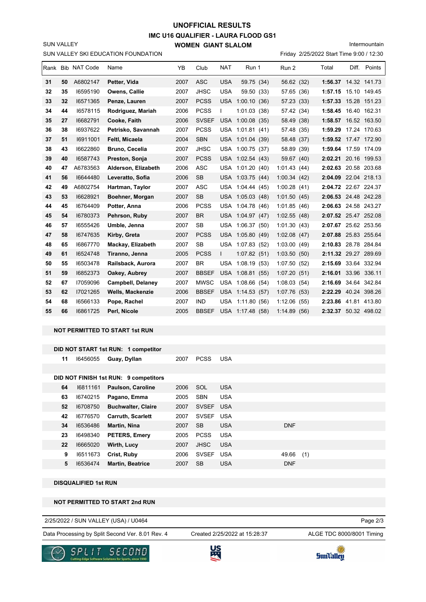## **IMC U16 QUALIFIER - LAURA FLOOD GS1 WOMEN GIANT SLALOM UNOFFICIAL RESULTS**

Intermountain

SUN VALLEY SKI EDUCATION FOUNDATION

SUN VALLEY

Friday 2/25/2022 Start Time 9:00 / 12:30

|    |    | Rank Bib NAT Code | Name                     | YB   | Club         | <b>NAT</b>   | Run 1            | Run 2           | Total                | Diff. | Points       |
|----|----|-------------------|--------------------------|------|--------------|--------------|------------------|-----------------|----------------------|-------|--------------|
| 31 | 50 | A6802147          | Petter, Vida             | 2007 | <b>ASC</b>   | <b>USA</b>   | 59.75 (34)       | 56.62 (32)      | 1:56.37 14.32 141.73 |       |              |
| 32 | 35 | 16595190          | Owens, Callie            | 2007 | <b>JHSC</b>  | <b>USA</b>   | 59.50 (33)       | 57.65 (36)      | 1:57.15 15.10 149.45 |       |              |
| 33 | 32 | 16571365          | Penze, Lauren            | 2007 | <b>PCSS</b>  | <b>USA</b>   | 1:00.10(36)      | 57.23 (33)      | 1:57.33              |       | 15.28 151.23 |
| 34 | 44 | 16578115          | Rodriguez, Mariah        | 2006 | <b>PCSS</b>  | $\mathbf{I}$ | 1:01.03(38)      | 57.42 (34)      | 1:58.45 16.40 162.31 |       |              |
| 35 | 27 | 16682791          | Cooke, Faith             | 2006 | <b>SVSEF</b> |              | USA 1:00.08 (35) | 58.49 (38)      | 1:58.57 16.52 163.50 |       |              |
| 36 | 38 | 16937622          | Petrisko, Savannah       | 2007 | <b>PCSS</b>  | USA          | 1:01.81(41)      | 57.48 (35)      | 1:59.29              |       | 17.24 170.63 |
| 37 | 51 | 16911001          | Feltl, Micaela           | 2004 | <b>SBN</b>   |              | USA 1:01.04 (39) | 58.48 (37)      | 1:59.52 17.47 172.90 |       |              |
| 38 | 43 | 16622860          | <b>Bruno, Cecelia</b>    | 2007 | <b>JHSC</b>  |              | USA 1:00.75 (37) | 58.89 (39)      | 1:59.64 17.59 174.09 |       |              |
| 39 | 40 | 16587743          | Preston, Sonja           | 2007 | <b>PCSS</b>  |              | USA 1:02.54 (43) | 59.67 (40)      | 2:02.21 20.16 199.53 |       |              |
| 40 | 47 | A6783563          | Alderson, Elizabeth      | 2006 | <b>ASC</b>   |              | USA 1:01.20 (40) | 1:01.43(44)     | 2:02.63 20.58 203.68 |       |              |
| 41 | 56 | 16644480          | Leveratto, Sofia         | 2006 | <b>SB</b>    |              | USA 1:03.75 (44) | 1:00.34(42)     | 2:04.09 22.04 218.13 |       |              |
| 42 | 49 | A6802754          | Hartman, Taylor          | 2007 | <b>ASC</b>   |              | USA 1:04.44 (45) | 1:00.28(41)     | 2:04.72 22.67 224.37 |       |              |
| 43 | 53 | 16628921          | Boehner, Morgan          | 2007 | <b>SB</b>    |              | USA 1:05.03 (48) | 1:01.50(45)     | 2:06.53 24.48 242.28 |       |              |
| 44 | 45 | 16764409          | Potter, Anna             | 2006 | <b>PCSS</b>  |              | USA 1:04.78 (46) | 1:01.85(46)     | 2:06.63 24.58 243.27 |       |              |
| 45 | 54 | 16780373          | Pehrson, Ruby            | 2007 | <b>BR</b>    |              | USA 1:04.97 (47) | 1:02.55(48)     | 2:07.52 25.47 252.08 |       |              |
| 46 | 57 | 16555426          | Umble, Jenna             | 2007 | <b>SB</b>    | <b>USA</b>   | 1:06.37(50)      | 1:01.30(43)     | 2:07.67 25.62 253.56 |       |              |
| 47 | 58 | 16747635          | Kirby, Greta             | 2007 | <b>PCSS</b>  |              | USA 1:05.80 (49) | 1:02.08(47)     | 2:07.88 25.83 255.64 |       |              |
| 48 | 65 | 16867770          | Mackay, Elizabeth        | 2007 | <b>SB</b>    |              | USA 1:07.83 (52) | 1:03.00(49)     | 2:10.83              |       | 28.78 284.84 |
| 49 | 61 | 16524748          | Tiranno, Jenna           | 2005 | <b>PCSS</b>  | $\mathbf{L}$ | 1:07.82(51)      | 1:03.50(50)     | 2:11.32 29.27 289.69 |       |              |
| 50 | 55 | 16503478          | Railsback, Aurora        | 2007 | <b>BR</b>    | <b>USA</b>   | 1:08.19(53)      | 1:07.50(52)     | 2:15.69              |       | 33.64 332.94 |
| 51 | 59 | 16852373          | Oakey, Aubrey            | 2007 | <b>BBSEF</b> | <b>USA</b>   | 1:08.81(55)      | 1:07.20(51)     | 2:16.01              |       | 33.96 336.11 |
| 52 | 67 | 17059096          | <b>Campbell, Delaney</b> | 2007 | <b>MWSC</b>  | USA          | 1:08.66(54)      | 1:08.03(54)     | 2:16.69              |       | 34.64 342.84 |
| 53 | 62 | 17021265          | <b>Wells, Mackenzie</b>  | 2006 | <b>BBSEF</b> | <b>USA</b>   | 1:14.53(57)      | 1:07.76(53)     | 2:22.29 40.24 398.26 |       |              |
| 54 | 68 | 16566133          | Pope, Rachel             | 2007 | <b>IND</b>   | <b>USA</b>   | 1:11.80(56)      | 1:12.06<br>(55) | 2:23.86 41.81 413.80 |       |              |
| 55 | 66 | 16861725          | Perl, Nicole             | 2005 | <b>BBSEF</b> |              | USA 1:17.48 (58) | 1:14.89(56)     | 2:32.37 50.32 498.02 |       |              |

### **NOT PERMITTED TO START 1st RUN**

|    |          | DID NOT START 1st RUN: 1 competitor   |      |              |            |            |     |  |
|----|----------|---------------------------------------|------|--------------|------------|------------|-----|--|
| 11 | 16456055 | Guay, Dyllan                          | 2007 | <b>PCSS</b>  | <b>USA</b> |            |     |  |
|    |          |                                       |      |              |            |            |     |  |
|    |          | DID NOT FINISH 1st RUN: 9 competitors |      |              |            |            |     |  |
| 64 | 16811161 | Paulson, Caroline                     | 2006 | SOL          | <b>USA</b> |            |     |  |
| 63 | 16740215 | Pagano, Emma                          | 2005 | <b>SBN</b>   | <b>USA</b> |            |     |  |
| 52 | 16708750 | <b>Buchwalter, Claire</b>             | 2007 | SVSEF USA    |            |            |     |  |
| 42 | 16776570 | <b>Carruth, Scarlett</b>              | 2007 | SVSEF USA    |            |            |     |  |
| 34 | 16536486 | Martin, Nina                          | 2007 | <b>SB</b>    | <b>USA</b> | <b>DNF</b> |     |  |
| 23 | 16498340 | <b>PETERS, Emery</b>                  | 2005 | <b>PCSS</b>  | <b>USA</b> |            |     |  |
| 22 | 16665020 | Wirth, Lucy                           | 2007 | <b>JHSC</b>  | <b>USA</b> |            |     |  |
| 9  | 16511673 | Crist, Ruby                           | 2006 | <b>SVSEF</b> | <b>USA</b> | 49.66      | (1) |  |
| 5  | 16536474 | <b>Martin, Beatrice</b>               | 2007 | <b>SB</b>    | <b>USA</b> | <b>DNF</b> |     |  |

**DISQUALIFIED 1st RUN**

#### **NOT PERMITTED TO START 2nd RUN**

2/25/2022 / SUN VALLEY (USA) / U0464

Data Processing by Split Second Ver. 8.01 Rev. 4 Created 2/25/2022 at 15:28:37 ALGE TDC 8000/8001 Timing

Created 2/25/2022 at 15:28:37

Page 2/3